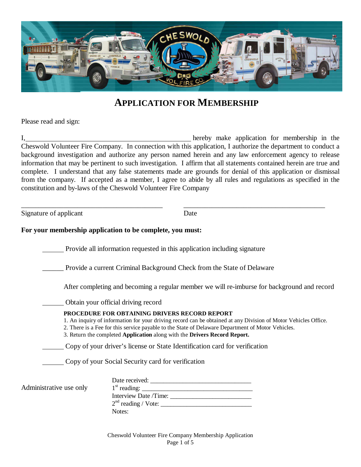

#### **APPLICATION FOR MEMBERSHIP**

Please read and sign:

I, hereby make application for membership in the Cheswold Volunteer Fire Company. In connection with this application, I authorize the department to conduct a background investigation and authorize any person named herein and any law enforcement agency to release information that may be pertinent to such investigation. I affirm that all statements contained herein are true and complete. I understand that any false statements made are grounds for denial of this application or dismissal from the company. If accepted as a member, I agree to abide by all rules and regulations as specified in the constitution and by-laws of the Cheswold Volunteer Fire Company

\_\_\_\_\_\_\_\_\_\_\_\_\_\_\_\_\_\_\_\_\_\_\_\_\_\_\_\_\_\_\_\_\_\_\_\_\_\_\_\_ \_\_\_\_\_\_\_\_\_\_\_\_\_\_\_\_\_\_\_\_\_\_\_\_\_\_\_\_\_\_\_\_\_\_\_\_\_\_\_\_

Signature of applicant Date

#### **For your membership application to be complete, you must:**

Provide all information requested in this application including signature

\_\_\_\_\_\_ Provide a current Criminal Background Check from the State of Delaware

After completing and becoming a regular member we will re-imburse for background and record

Obtain your official driving record

#### **PROCEDURE FOR OBTAINING DRIVERS RECORD REPORT**

1. An inquiry of information for your driving record can be obtained at any Division of Motor Vehicles Office.

2. There is a Fee for this service payable to the State of Delaware Department of Motor Vehicles.

3. Return the completed **Application** along with the **Drivers Record Report.**

Copy of your driver's license or State Identification card for verification

Copy of your Social Security card for verification

|                         | Date received:        |
|-------------------------|-----------------------|
| Administrative use only |                       |
|                         | Interview Date /Time: |
|                         |                       |
|                         | Notes:                |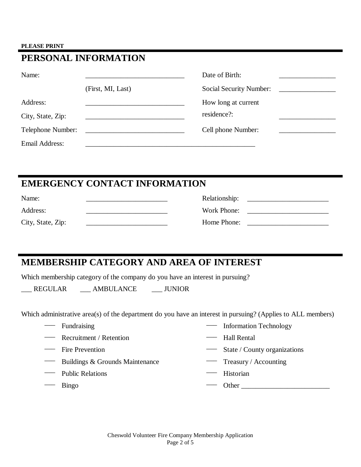#### **PLEASE PRINT**

| PERSONAL INFORMATION |                                                |                         |  |
|----------------------|------------------------------------------------|-------------------------|--|
| Name:                |                                                | Date of Birth:          |  |
|                      | (First, MI, Last)                              | Social Security Number: |  |
| Address:             |                                                | How long at current     |  |
| City, State, Zip:    |                                                | residence?:             |  |
| Telephone Number:    | <u> 1980 - Jan Barbara Barbara, manazarta </u> | Cell phone Number:      |  |
| Email Address:       |                                                |                         |  |

### **EMERGENCY CONTACT INFORMATION**

| Name:             | Relationship: |  |
|-------------------|---------------|--|
| Address:          | Work Phone:   |  |
| City, State, Zip: | Home Phone:   |  |

## **MEMBERSHIP CATEGORY AND AREA OF INTEREST**

Which membership category of the company do you have an interest in pursuing?

\_\_\_ REGULAR \_\_\_ AMBULANCE \_\_\_ JUNIOR

Which administrative area(s) of the department do you have an interest in pursuing? (Applies to ALL members)

- 
- Recruitment / Retention -- Hall Rental
- 
- Buildings & Grounds Maintenance Treasury / Accounting
- 
- 
- Fundraising Technology Information Technology
	-
- Fire Prevention State / County organizations
	-
	- Public Relations Historian
- $\longrightarrow$  Bingo  $\longrightarrow$  Other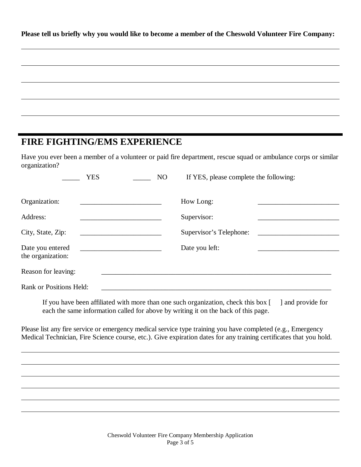**Please tell us briefly why you would like to become a member of the Cheswold Volunteer Fire Company:** 

### **FIRE FIGHTING/EMS EXPERIENCE**

 $\overline{a}$ 

 $\overline{a}$ 

 $\overline{a}$ 

 $\overline{a}$ 

Have you ever been a member of a volunteer or paid fire department, rescue squad or ambulance corps or similar organization?

| <b>YES</b><br>N <sub>O</sub>          | If YES, please complete the following: |
|---------------------------------------|----------------------------------------|
| Organization:                         | How Long:                              |
| Address:<br>City, State, Zip:         | Supervisor:<br>Supervisor's Telephone: |
| Date you entered<br>the organization: | Date you left:                         |
| Reason for leaving:                   |                                        |
| Rank or Positions Held:               |                                        |

If you have been affiliated with more than one such organization, check this box [ ] and provide for each the same information called for above by writing it on the back of this page.

Please list any fire service or emergency medical service type training you have completed (e.g., Emergency Medical Technician, Fire Science course, etc.). Give expiration dates for any training certificates that you hold.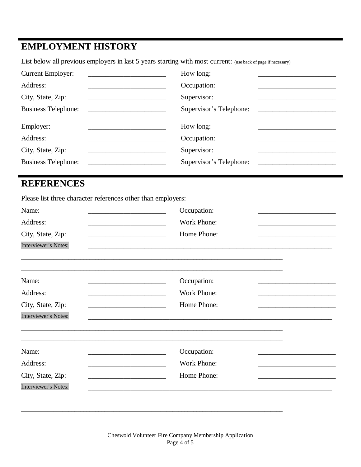# **EMPLOYMENT HISTORY**

List below all previous employers in last 5 years starting with most current: (use back of page if necessary)

| <b>Current Employer:</b>   | How long:               |
|----------------------------|-------------------------|
| Address:                   | Occupation:             |
| City, State, Zip:          | Supervisor:             |
| <b>Business Telephone:</b> | Supervisor's Telephone: |
| Employer:                  | How long:               |
| Address:                   | Occupation:             |
| City, State, Zip:          |                         |
|                            | Supervisor:             |

## **REFERENCES**

Please list three character references other than employers:

| Name:                                                                                  | Occupation:                                                                                                                          |  |
|----------------------------------------------------------------------------------------|--------------------------------------------------------------------------------------------------------------------------------------|--|
| Address:<br>the control of the control of the control of the control of the control of | Work Phone:                                                                                                                          |  |
| City, State, Zip:                                                                      | Home Phone:                                                                                                                          |  |
| <b>Interviewer's Notes:</b>                                                            |                                                                                                                                      |  |
|                                                                                        |                                                                                                                                      |  |
|                                                                                        |                                                                                                                                      |  |
| Name:                                                                                  | Occupation:                                                                                                                          |  |
| Address:                                                                               | Work Phone:                                                                                                                          |  |
| City, State, Zip:                                                                      | Home Phone:<br><u> 1980 - Johann Barn, mars eta inperiodo</u>                                                                        |  |
| <b>Interviewer's Notes:</b>                                                            |                                                                                                                                      |  |
|                                                                                        |                                                                                                                                      |  |
| Name:                                                                                  | Occupation:                                                                                                                          |  |
| Address:                                                                               | Work Phone:<br><u> 1989 - Johann John Stone, market fan it ferskearre fan it ferskearre fan it ferskearre fan it ferskearre fan </u> |  |
| City, State, Zip:                                                                      | Home Phone:                                                                                                                          |  |
| <b>Interviewer's Notes:</b>                                                            |                                                                                                                                      |  |
|                                                                                        |                                                                                                                                      |  |
|                                                                                        |                                                                                                                                      |  |